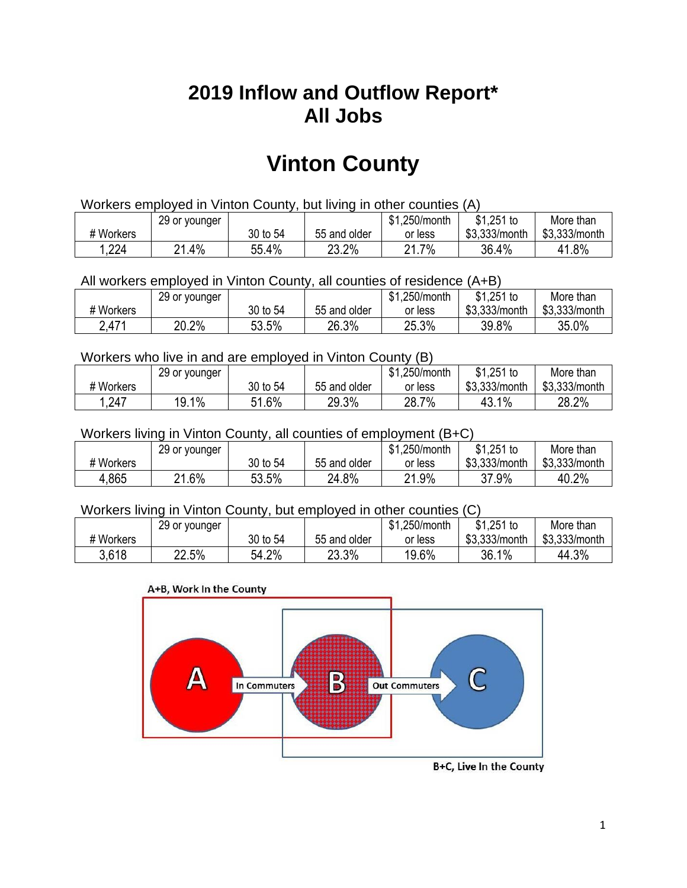## **2019 Inflow and Outflow Report\* All Jobs**

# **Vinton County**

| Workers employed in Vinton County, but living in other counties (A) |                                                            |          |              |         |               |               |  |  |  |
|---------------------------------------------------------------------|------------------------------------------------------------|----------|--------------|---------|---------------|---------------|--|--|--|
|                                                                     | $$1,251$ to<br>\$1.250/month<br>More than<br>29 or younger |          |              |         |               |               |  |  |  |
| # Workers                                                           |                                                            | 30 to 54 | 55 and older | or less | \$3,333/month | \$3,333/month |  |  |  |
| 1,224                                                               | 21.4%                                                      | 55.4%    | 23.2%        | 21.7%   | 36.4%         | 41.8%         |  |  |  |

All workers employed in Vinton County, all counties of residence (A+B)

|           | 29 or younger |          |              | \$1,250/month | $$1,251$ to   | More than     |
|-----------|---------------|----------|--------------|---------------|---------------|---------------|
| # Workers |               | 30 to 54 | 55 and older | or less       | \$3,333/month | \$3,333/month |
| 2,471     | 20.2%         | 53.5%    | 26.3%        | 25.3%         | 39.8%         | 35.0%         |

#### Workers who live in and are employed in Vinton County (B)

|           | 29 or younger |          |              | \$1,250/month | $$1,251$ to   | More than     |
|-----------|---------------|----------|--------------|---------------|---------------|---------------|
| # Workers |               | 30 to 54 | 55 and older | or less       | \$3,333/month | \$3,333/month |
| 1,247     | 19.1%         | 51.6%    | 29.3%        | 28.7%         | 43.1%         | 28.2%         |

#### Workers living in Vinton County, all counties of employment (B+C)

|           | 29 or younger |          |              | \$1,250/month | \$1,251 to    | More than     |
|-----------|---------------|----------|--------------|---------------|---------------|---------------|
| # Workers |               | 30 to 54 | 55 and older | or less       | \$3,333/month | \$3,333/month |
| 4,865     | 21.6%         | 53.5%    | 24.8%        | 21.9%         | 37.9%         | 40.2%         |

#### Workers living in Vinton County, but employed in other counties (C)

|           | 29 or younger |          |              | \$1,250/month | $$1,251$ to   | More than     |
|-----------|---------------|----------|--------------|---------------|---------------|---------------|
| # Workers |               | 30 to 54 | 55 and older | or less       | \$3,333/month | \$3,333/month |
| 3.618     | 22.5%         | 54.2%    | 23.3%        | 19.6%         | 36.1%         | 44.3%         |

#### A+B, Work In the County